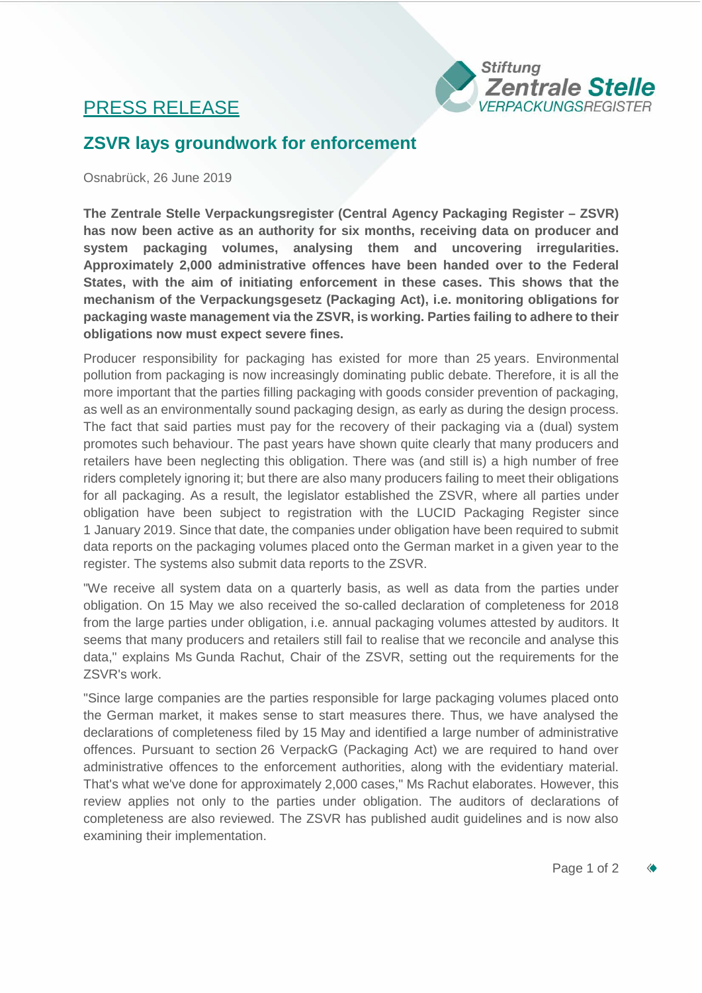## PRESS RELEASE



## **ZSVR lays groundwork for enforcement**

Osnabrück, 26 June 2019

**The Zentrale Stelle Verpackungsregister (Central Agency Packaging Register – ZSVR) has now been active as an authority for six months, receiving data on producer and system packaging volumes, analysing them and uncovering irregularities. Approximately 2,000 administrative offences have been handed over to the Federal States, with the aim of initiating enforcement in these cases. This shows that the mechanism of the Verpackungsgesetz (Packaging Act), i.e. monitoring obligations for packaging waste management via the ZSVR, is working. Parties failing to adhere to their obligations now must expect severe fines.**

Producer responsibility for packaging has existed for more than 25 years. Environmental pollution from packaging is now increasingly dominating public debate. Therefore, it is all the more important that the parties filling packaging with goods consider prevention of packaging, as well as an environmentally sound packaging design, as early as during the design process. The fact that said parties must pay for the recovery of their packaging via a (dual) system promotes such behaviour. The past years have shown quite clearly that many producers and retailers have been neglecting this obligation. There was (and still is) a high number of free riders completely ignoring it; but there are also many producers failing to meet their obligations for all packaging. As a result, the legislator established the ZSVR, where all parties under obligation have been subject to registration with the LUCID Packaging Register since 1 January 2019. Since that date, the companies under obligation have been required to submit data reports on the packaging volumes placed onto the German market in a given year to the register. The systems also submit data reports to the ZSVR.

"We receive all system data on a quarterly basis, as well as data from the parties under obligation. On 15 May we also received the so-called declaration of completeness for 2018 from the large parties under obligation, i.e. annual packaging volumes attested by auditors. It seems that many producers and retailers still fail to realise that we reconcile and analyse this data," explains Ms Gunda Rachut, Chair of the ZSVR, setting out the requirements for the ZSVR's work.

"Since large companies are the parties responsible for large packaging volumes placed onto the German market, it makes sense to start measures there. Thus, we have analysed the declarations of completeness filed by 15 May and identified a large number of administrative offences. Pursuant to section 26 VerpackG (Packaging Act) we are required to hand over administrative offences to the enforcement authorities, along with the evidentiary material. That's what we've done for approximately 2,000 cases," Ms Rachut elaborates. However, this review applies not only to the parties under obligation. The auditors of declarations of completeness are also reviewed. The ZSVR has published audit guidelines and is now also examining their implementation.